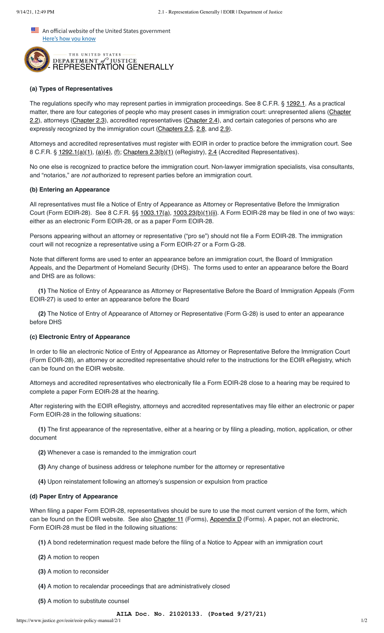An official website of the United States government Here's how you know



## **(a) Types of Representatives**

The regulations specify who may represent parties in immigration proceedings. See 8 C.F.R. § [1292.1.](https://www.ecfr.gov/cgi-bin/text-idx?SID=acc63c1243f389a1c5813aeb713e1950&mc=true&node=se8.1.1292_11&rgn=div8) As a practical [matter, there are four categories of people who may present cases in immigration court: unrepresented aliens \(Chapter](https://www.justice.gov/eoir/eoir-policy-manual/2/2) 2.2), attorneys ([Chapter 2.3\)](https://www.justice.gov/eoir/eoir-policy-manual/2/3), accredited representatives ([Chapter 2.4\)](https://www.justice.gov/eoir/eoir-policy-manual/2/4), and certain categories of persons who are expressly recognized by the immigration court ([Chapters 2.5,](https://www.justice.gov/eoir/eoir-policy-manual/2/5) [2.8,](https://www.justice.gov/eoir/eoir-policy-manual/2/8) and [2.9\)](https://www.justice.gov/eoir/eoir-policy-manual/2/9).

Attorneys and accredited representatives must register with EOIR in order to practice before the immigration court. See 8 C.F.R. § [1292.1\(a\)\(1\)](https://www.ecfr.gov/cgi-bin/text-idx?SID=acc63c1243f389a1c5813aeb713e1950&mc=true&node=se8.1.1292_11&rgn=div8), [\(a\)\(4\),](https://www.ecfr.gov/cgi-bin/text-idx?SID=acc63c1243f389a1c5813aeb713e1950&mc=true&node=se8.1.1292_11&rgn=div8) [\(f\)](https://www.ecfr.gov/cgi-bin/text-idx?SID=acc63c1243f389a1c5813aeb713e1950&mc=true&node=se8.1.1292_11&rgn=div8); [Chapters 2.3\(b\)\(1\)](https://www.justice.gov/eoir/eoir-policy-manual/2/3) (eRegistry), [2.4](https://www.justice.gov/eoir/eoir-policy-manual/2/4) (Accredited Representatives).

No one else is recognized to practice before the immigration court. Non-lawyer immigration specialists, visa consultants, and "notarios," are *not* authorized to represent parties before an immigration court.

## **(b) Entering an Appearance**

All representatives must file a Notice of Entry of Appearance as Attorney or Representative Before the Immigration Court (Form EOIR-28). See 8 C.F.R.  $\S$   $\frac{1003.17(a)}{2}$ ,  $\frac{1003.23(b)(1)(ii)}{2}$ . A Form EOIR-28 may be filed in one of two ways: either as an electronic Form EOIR-28, or as a paper Form EOIR-28.

Persons appearing without an attorney or representative ("pro se") should not file a Form EOIR-28. The immigration court will not recognize a representative using a Form EOIR-27 or a Form G-28.

Note that different forms are used to enter an appearance before an immigration court, the Board of Immigration Appeals, and the Department of Homeland Security (DHS). The forms used to enter an appearance before the Board and DHS are as follows:

**(1)** The Notice of Entry of Appearance as Attorney or Representative Before the Board of Immigration Appeals (Form EOIR-27) is used to enter an appearance before the Board

**(2)** The Notice of Entry of Appearance of Attorney or Representative (Form G-28) is used to enter an appearance before DHS

## **(c) Electronic Entry of Appearance**

In order to file an electronic Notice of Entry of Appearance as Attorney or Representative Before the Immigration Court (Form EOIR-28), an attorney or accredited representative should refer to the instructions for the EOIR eRegistry, which can be found on the EOIR website.

Attorneys and accredited representatives who electronically file a Form EOIR-28 close to a hearing may be required to complete a paper Form EOIR-28 at the hearing.

After registering with the EOIR eRegistry, attorneys and accredited representatives may file either an electronic or paper Form EOIR-28 in the following situations:

**(1)** The first appearance of the representative, either at a hearing or by filing a pleading, motion, application, or other document

- **(2)** Whenever a case is remanded to the immigration court
- **(3)** Any change of business address or telephone number for the attorney or representative
- **(4)** Upon reinstatement following an attorney's suspension or expulsion from practice

#### **(d) Paper Entry of Appearance**

When filing a paper Form EOIR-28, representatives should be sure to use the most current version of the form, which can be found on the EOIR website. See also [Chapter 11](https://www.justice.gov/eoir/eoir-policy-manual/11) (Forms), [Appendix D](https://www.justice.gov/eoir/eoir-policy-manual/VIIII/d) (Forms). A paper, not an electronic, Form EOIR-28 must be filed in the following situations:

- **(1)** A bond redetermination request made before the filing of a Notice to Appear with an immigration court
- **(2)** A motion to reopen
- **(3)** A motion to reconsider
- **(4)** A motion to recalendar proceedings that are administratively closed
- **(5)** A motion to substitute counsel